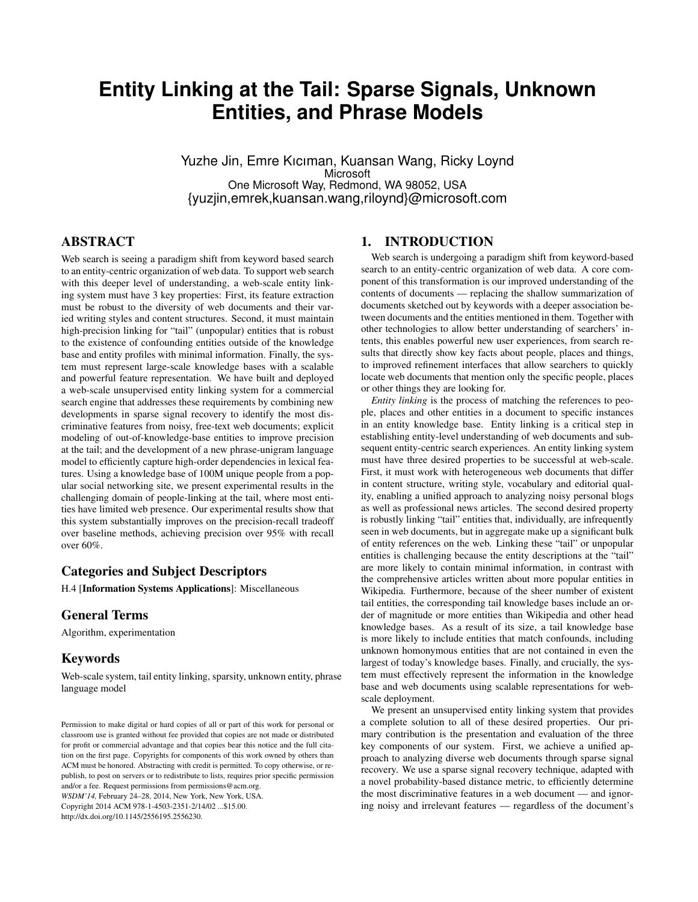# **Entity Linking at the Tail: Sparse Signals, Unknown Entities, and Phrase Models**

Yuzhe Jin, Emre Kıcıman, Kuansan Wang, Ricky Loynd Microsoft One Microsoft Way, Redmond, WA 98052, USA {yuzjin,emrek,kuansan.wang,riloynd}@microsoft.com

# ABSTRACT

Web search is seeing a paradigm shift from keyword based search to an entity-centric organization of web data. To support web search with this deeper level of understanding, a web-scale entity linking system must have 3 key properties: First, its feature extraction must be robust to the diversity of web documents and their varied writing styles and content structures. Second, it must maintain high-precision linking for "tail" (unpopular) entities that is robust to the existence of confounding entities outside of the knowledge base and entity profiles with minimal information. Finally, the system must represent large-scale knowledge bases with a scalable and powerful feature representation. We have built and deployed a web-scale unsupervised entity linking system for a commercial search engine that addresses these requirements by combining new developments in sparse signal recovery to identify the most discriminative features from noisy, free-text web documents; explicit modeling of out-of-knowledge-base entities to improve precision at the tail; and the development of a new phrase-unigram language model to efficiently capture high-order dependencies in lexical features. Using a knowledge base of 100M unique people from a popular social networking site, we present experimental results in the challenging domain of people-linking at the tail, where most entities have limited web presence. Our experimental results show that this system substantially improves on the precision-recall tradeoff over baseline methods, achieving precision over 95% with recall over 60%.

## Categories and Subject Descriptors

H.4 [Information Systems Applications]: Miscellaneous

# General Terms

Algorithm, experimentation

# Keywords

Web-scale system, tail entity linking, sparsity, unknown entity, phrase language model

*WSDM'14,* February 24–28, 2014, New York, New York, USA. Copyright 2014 ACM 978-1-4503-2351-2/14/02 ...\$15.00. http://dx.doi.org/10.1145/2556195.2556230.

# 1. INTRODUCTION

Web search is undergoing a paradigm shift from keyword-based search to an entity-centric organization of web data. A core component of this transformation is our improved understanding of the contents of documents — replacing the shallow summarization of documents sketched out by keywords with a deeper association between documents and the entities mentioned in them. Together with other technologies to allow better understanding of searchers' intents, this enables powerful new user experiences, from search results that directly show key facts about people, places and things, to improved refinement interfaces that allow searchers to quickly locate web documents that mention only the specific people, places or other things they are looking for.

*Entity linking* is the process of matching the references to people, places and other entities in a document to specific instances in an entity knowledge base. Entity linking is a critical step in establishing entity-level understanding of web documents and subsequent entity-centric search experiences. An entity linking system must have three desired properties to be successful at web-scale. First, it must work with heterogeneous web documents that differ in content structure, writing style, vocabulary and editorial quality, enabling a unified approach to analyzing noisy personal blogs as well as professional news articles. The second desired property is robustly linking "tail" entities that, individually, are infrequently seen in web documents, but in aggregate make up a significant bulk of entity references on the web. Linking these "tail" or unpopular entities is challenging because the entity descriptions at the "tail" are more likely to contain minimal information, in contrast with the comprehensive articles written about more popular entities in Wikipedia. Furthermore, because of the sheer number of existent tail entities, the corresponding tail knowledge bases include an order of magnitude or more entities than Wikipedia and other head knowledge bases. As a result of its size, a tail knowledge base is more likely to include entities that match confounds, including unknown homonymous entities that are not contained in even the largest of today's knowledge bases. Finally, and crucially, the system must effectively represent the information in the knowledge base and web documents using scalable representations for webscale deployment.

We present an unsupervised entity linking system that provides a complete solution to all of these desired properties. Our primary contribution is the presentation and evaluation of the three key components of our system. First, we achieve a unified approach to analyzing diverse web documents through sparse signal recovery. We use a sparse signal recovery technique, adapted with a novel probability-based distance metric, to efficiently determine the most discriminative features in a web document — and ignoring noisy and irrelevant features — regardless of the document's

Permission to make digital or hard copies of all or part of this work for personal or classroom use is granted without fee provided that copies are not made or distributed for profit or commercial advantage and that copies bear this notice and the full citation on the first page. Copyrights for components of this work owned by others than ACM must be honored. Abstracting with credit is permitted. To copy otherwise, or republish, to post on servers or to redistribute to lists, requires prior specific permission and/or a fee. Request permissions from permissions@acm.org.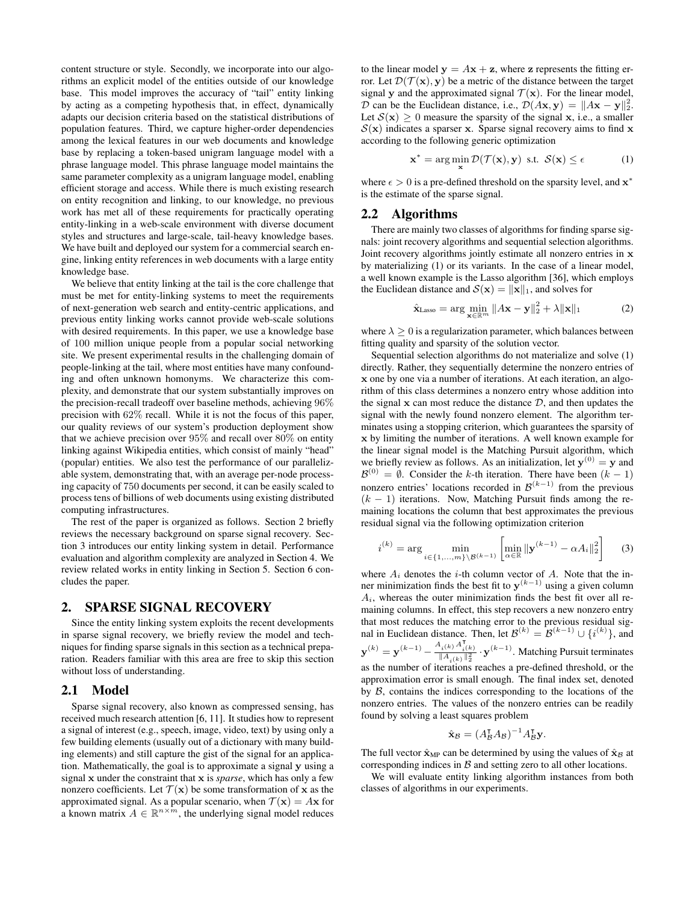content structure or style. Secondly, we incorporate into our algorithms an explicit model of the entities outside of our knowledge base. This model improves the accuracy of "tail" entity linking by acting as a competing hypothesis that, in effect, dynamically adapts our decision criteria based on the statistical distributions of population features. Third, we capture higher-order dependencies among the lexical features in our web documents and knowledge base by replacing a token-based unigram language model with a phrase language model. This phrase language model maintains the same parameter complexity as a unigram language model, enabling efficient storage and access. While there is much existing research on entity recognition and linking, to our knowledge, no previous work has met all of these requirements for practically operating entity-linking in a web-scale environment with diverse document styles and structures and large-scale, tail-heavy knowledge bases. We have built and deployed our system for a commercial search engine, linking entity references in web documents with a large entity knowledge base.

We believe that entity linking at the tail is the core challenge that must be met for entity-linking systems to meet the requirements of next-generation web search and entity-centric applications, and previous entity linking works cannot provide web-scale solutions with desired requirements. In this paper, we use a knowledge base of 100 million unique people from a popular social networking site. We present experimental results in the challenging domain of people-linking at the tail, where most entities have many confounding and often unknown homonyms. We characterize this complexity, and demonstrate that our system substantially improves on the precision-recall tradeoff over baseline methods, achieving 96% precision with 62% recall. While it is not the focus of this paper, our quality reviews of our system's production deployment show that we achieve precision over 95% and recall over 80% on entity linking against Wikipedia entities, which consist of mainly "head" (popular) entities. We also test the performance of our parallelizable system, demonstrating that, with an average per-node processing capacity of 750 documents per second, it can be easily scaled to process tens of billions of web documents using existing distributed computing infrastructures.

The rest of the paper is organized as follows. Section 2 briefly reviews the necessary background on sparse signal recovery. Section 3 introduces our entity linking system in detail. Performance evaluation and algorithm complexity are analyzed in Section 4. We review related works in entity linking in Section 5. Section 6 concludes the paper.

#### 2. SPARSE SIGNAL RECOVERY

Since the entity linking system exploits the recent developments in sparse signal recovery, we briefly review the model and techniques for finding sparse signals in this section as a technical preparation. Readers familiar with this area are free to skip this section without loss of understanding.

#### 2.1 Model

Sparse signal recovery, also known as compressed sensing, has received much research attention [6, 11]. It studies how to represent a signal of interest (e.g., speech, image, video, text) by using only a few building elements (usually out of a dictionary with many building elements) and still capture the gist of the signal for an application. Mathematically, the goal is to approximate a signal y using a signal x under the constraint that x is *sparse*, which has only a few nonzero coefficients. Let  $\mathcal{T}(\mathbf{x})$  be some transformation of x as the approximated signal. As a popular scenario, when  $\mathcal{T}(\mathbf{x}) = A\mathbf{x}$  for a known matrix  $A \in \mathbb{R}^{n \times m}$ , the underlying signal model reduces

to the linear model  $y = Ax + z$ , where z represents the fitting error. Let  $\mathcal{D}(\mathcal{T}(\mathbf{x}), \mathbf{y})$  be a metric of the distance between the target signal y and the approximated signal  $\mathcal{T}(\mathbf{x})$ . For the linear model, D can be the Euclidean distance, i.e.,  $\mathcal{D}(A\mathbf{x}, \mathbf{y}) = ||A\mathbf{x} - \mathbf{y}||_2^2$ . Let  $S(\mathbf{x}) > 0$  measure the sparsity of the signal x, i.e., a smaller  $S(x)$  indicates a sparser x. Sparse signal recovery aims to find x according to the following generic optimization

$$
\mathbf{x}^* = \arg\min_{\mathbf{x}} \mathcal{D}(\mathcal{T}(\mathbf{x}), \mathbf{y}) \text{ s.t. } \mathcal{S}(\mathbf{x}) \le \epsilon \tag{1}
$$

where  $\epsilon > 0$  is a pre-defined threshold on the sparsity level, and  $x^*$ is the estimate of the sparse signal.

## 2.2 Algorithms

There are mainly two classes of algorithms for finding sparse signals: joint recovery algorithms and sequential selection algorithms. Joint recovery algorithms jointly estimate all nonzero entries in x by materializing (1) or its variants. In the case of a linear model, a well known example is the Lasso algorithm [36], which employs the Euclidean distance and  $\mathcal{S}(\mathbf{x}) = ||\mathbf{x}||_1$ , and solves for

$$
\hat{\mathbf{x}}_{\text{Lasso}} = \arg\min_{\mathbf{x} \in \mathbb{R}^m} \|A\mathbf{x} - \mathbf{y}\|_2^2 + \lambda \|\mathbf{x}\|_1 \tag{2}
$$

where  $\lambda \geq 0$  is a regularization parameter, which balances between fitting quality and sparsity of the solution vector.

Sequential selection algorithms do not materialize and solve (1) directly. Rather, they sequentially determine the nonzero entries of x one by one via a number of iterations. At each iteration, an algorithm of this class determines a nonzero entry whose addition into the signal  $x$  can most reduce the distance  $D$ , and then updates the signal with the newly found nonzero element. The algorithm terminates using a stopping criterion, which guarantees the sparsity of x by limiting the number of iterations. A well known example for the linear signal model is the Matching Pursuit algorithm, which we briefly review as follows. As an initialization, let  $y^{(0)} = y$  and  $\mathcal{B}^{(0)} = \emptyset$ . Consider the k-th iteration. There have been  $(k-1)$ nonzero entries' locations recorded in  $\mathcal{B}^{(k-1)}$  from the previous  $(k - 1)$  iterations. Now, Matching Pursuit finds among the remaining locations the column that best approximates the previous residual signal via the following optimization criterion

$$
i^{(k)} = \arg \min_{i \in \{1, ..., m\} \setminus \mathcal{B}^{(k-1)}} \left[ \min_{\alpha \in \mathbb{R}} ||\mathbf{y}^{(k-1)} - \alpha A_i||_2^2 \right] \tag{3}
$$

where  $A_i$  denotes the *i*-th column vector of  $A$ . Note that the inner minimization finds the best fit to  $y^{(k-1)}$  using a given column  $A_i$ , whereas the outer minimization finds the best fit over all remaining columns. In effect, this step recovers a new nonzero entry that most reduces the matching error to the previous residual signal in Euclidean distance. Then, let  $\mathcal{B}^{(k)} = \mathcal{B}^{(k-1)} \cup \{i^{(k)}\},$  and  $\mathbf{y}^{(k)} = \mathbf{y}^{(k-1)} - \frac{A_{i(k)} A_{i(k)}^{\mathsf{T}}}{\|A\|}$  $\frac{\sum_{i(k)}^{k} \sum_{i(k)}^{k} |k - 1|}{\|A_{i(k)}\|_2^2} \cdot \mathbf{y}^{(k-1)}$ . Matching Pursuit terminates as the number of iterations reaches a pre-defined threshold, or the approximation error is small enough. The final index set, denoted by B, contains the indices corresponding to the locations of the nonzero entries. The values of the nonzero entries can be readily found by solving a least squares problem

$$
\hat{\mathbf{x}}_{\mathcal{B}} = (A_{\mathcal{B}}^{\mathsf{T}} A_{\mathcal{B}})^{-1} A_{\mathcal{B}}^{\mathsf{T}} \mathbf{y}.
$$

The full vector  $\hat{\mathbf{x}}_{\text{MP}}$  can be determined by using the values of  $\hat{\mathbf{x}}_{\text{B}}$  at corresponding indices in  $B$  and setting zero to all other locations.

We will evaluate entity linking algorithm instances from both classes of algorithms in our experiments.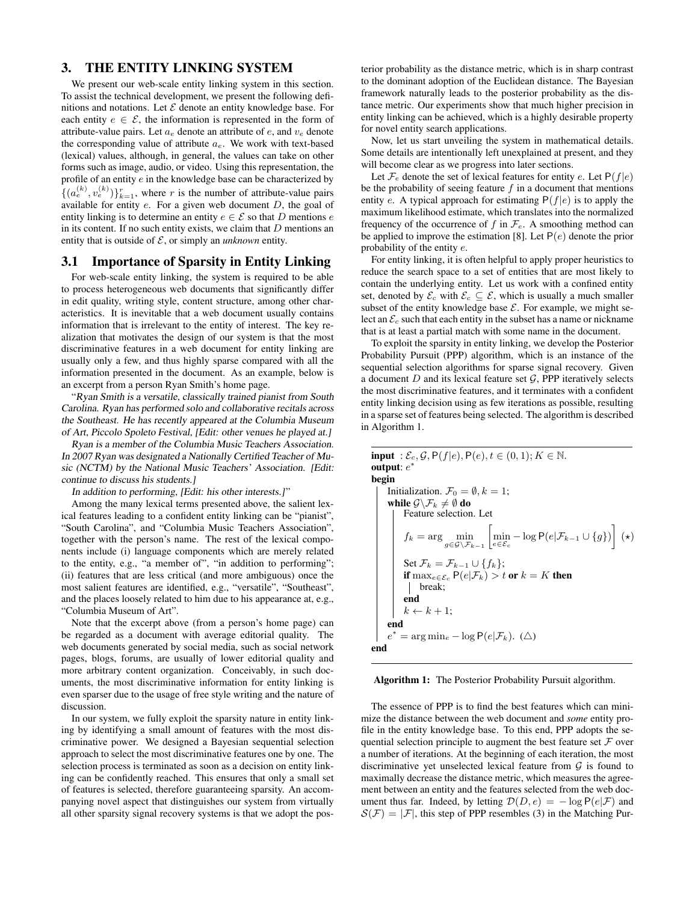## 3. THE ENTITY LINKING SYSTEM

We present our web-scale entity linking system in this section. To assist the technical development, we present the following definitions and notations. Let  $\mathcal E$  denote an entity knowledge base. For each entity  $e \in \mathcal{E}$ , the information is represented in the form of attribute-value pairs. Let  $a_e$  denote an attribute of  $e$ , and  $v_e$  denote the corresponding value of attribute  $a_e$ . We work with text-based (lexical) values, although, in general, the values can take on other forms such as image, audio, or video. Using this representation, the profile of an entity e in the knowledge base can be characterized by  $\{(a_e^{(k)}, v_e^{(k)})\}_{k=1}^r$ , where r is the number of attribute-value pairs available for entity  $e$ . For a given web document  $D$ , the goal of entity linking is to determine an entity  $e \in \mathcal{E}$  so that D mentions e in its content. If no such entity exists, we claim that  $D$  mentions an entity that is outside of  $\mathcal{E}$ , or simply an *unknown* entity.

# 3.1 Importance of Sparsity in Entity Linking

For web-scale entity linking, the system is required to be able to process heterogeneous web documents that significantly differ in edit quality, writing style, content structure, among other characteristics. It is inevitable that a web document usually contains information that is irrelevant to the entity of interest. The key realization that motivates the design of our system is that the most discriminative features in a web document for entity linking are usually only a few, and thus highly sparse compared with all the information presented in the document. As an example, below is an excerpt from a person Ryan Smith's home page.

"Ryan Smith is a versatile, classically trained pianist from South Carolina. Ryan has performed solo and collaborative recitals across the Southeast. He has recently appeared at the Columbia Museum of Art, Piccolo Spoleto Festival, [Edit: other venues he played at.]

Ryan is a member of the Columbia Music Teachers Association. In 2007 Ryan was designated a Nationally Certified Teacher of Music (NCTM) by the National Music Teachers' Association. [Edit: continue to discuss his students.]

In addition to performing, [Edit: his other interests.]"

Among the many lexical terms presented above, the salient lexical features leading to a confident entity linking can be "pianist", "South Carolina", and "Columbia Music Teachers Association", together with the person's name. The rest of the lexical components include (i) language components which are merely related to the entity, e.g., "a member of", "in addition to performing"; (ii) features that are less critical (and more ambiguous) once the most salient features are identified, e.g., "versatile", "Southeast", and the places loosely related to him due to his appearance at, e.g., "Columbia Museum of Art".

Note that the excerpt above (from a person's home page) can be regarded as a document with average editorial quality. The web documents generated by social media, such as social network pages, blogs, forums, are usually of lower editorial quality and more arbitrary content organization. Conceivably, in such documents, the most discriminative information for entity linking is even sparser due to the usage of free style writing and the nature of discussion.

In our system, we fully exploit the sparsity nature in entity linking by identifying a small amount of features with the most discriminative power. We designed a Bayesian sequential selection approach to select the most discriminative features one by one. The selection process is terminated as soon as a decision on entity linking can be confidently reached. This ensures that only a small set of features is selected, therefore guaranteeing sparsity. An accompanying novel aspect that distinguishes our system from virtually all other sparsity signal recovery systems is that we adopt the posterior probability as the distance metric, which is in sharp contrast to the dominant adoption of the Euclidean distance. The Bayesian framework naturally leads to the posterior probability as the distance metric. Our experiments show that much higher precision in entity linking can be achieved, which is a highly desirable property for novel entity search applications.

Now, let us start unveiling the system in mathematical details. Some details are intentionally left unexplained at present, and they will become clear as we progress into later sections.

Let  $\mathcal{F}_e$  denote the set of lexical features for entity e. Let  $P(f|e)$ be the probability of seeing feature  $f$  in a document that mentions entity e. A typical approach for estimating  $P(f|e)$  is to apply the maximum likelihood estimate, which translates into the normalized frequency of the occurrence of f in  $\mathcal{F}_e$ . A smoothing method can be applied to improve the estimation [8]. Let  $P(e)$  denote the prior probability of the entity e.

For entity linking, it is often helpful to apply proper heuristics to reduce the search space to a set of entities that are most likely to contain the underlying entity. Let us work with a confined entity set, denoted by  $\mathcal{E}_c$  with  $\mathcal{E}_c \subseteq \mathcal{E}$ , which is usually a much smaller subset of the entity knowledge base  $\mathcal{E}$ . For example, we might select an  $\mathcal{E}_c$  such that each entity in the subset has a name or nickname that is at least a partial match with some name in the document.

To exploit the sparsity in entity linking, we develop the Posterior Probability Pursuit (PPP) algorithm, which is an instance of the sequential selection algorithms for sparse signal recovery. Given a document  $D$  and its lexical feature set  $G$ , PPP iteratively selects the most discriminative features, and it terminates with a confident entity linking decision using as few iterations as possible, resulting in a sparse set of features being selected. The algorithm is described in Algorithm 1.

```
\ninput : 
$$
\mathcal{E}_c, \mathcal{G}, \mathsf{P}(f|e), \mathsf{P}(e), t \in (0, 1); K \in \mathbb{N}.\n
$$
\noutput:  $e^*$ \nbegin\nheight\n     $\mathbf{b} = \emptyset, k = 1;\n \mathbf{b} = \mathsf{q} \setminus \mathcal{F}_k \neq \emptyset \mathbf{d} \mathbf{d} \mathbf{d} \mathbf{d}$ \n    Feature selection. Let\n     $f_k = \arg \min_{g \in \mathcal{G} \setminus \mathcal{F}_{k-1}} \left[ \min_{e \in \mathcal{E}_c} -\log \mathsf{P}(e | \mathcal{F}_{k-1} \cup \{g\}) \right] (\star)$ \n    Set  $\mathcal{F}_k = \mathcal{F}_{k-1} \cup \{f_k\};\n \text{if } \max_{e \in \mathcal{E}_c} \mathsf{P}(e | \mathcal{F}_k) > t \text{ or } k = K \text{ then }\n \text{break};\n \text{end}\n \text{break};\n \text{end}\n e^* = \arg \min_{e} -\log \mathsf{P}(e | \mathcal{F}_k). (\triangle)$ \nend\n
```

Algorithm 1: The Posterior Probability Pursuit algorithm.

The essence of PPP is to find the best features which can minimize the distance between the web document and *some* entity profile in the entity knowledge base. To this end, PPP adopts the sequential selection principle to augment the best feature set  $\mathcal F$  over a number of iterations. At the beginning of each iteration, the most discriminative yet unselected lexical feature from  $G$  is found to maximally decrease the distance metric, which measures the agreement between an entity and the features selected from the web document thus far. Indeed, by letting  $\mathcal{D}(D, e) = -\log P(e|\mathcal{F})$  and  $S(F) = |F|$ , this step of PPP resembles (3) in the Matching Pur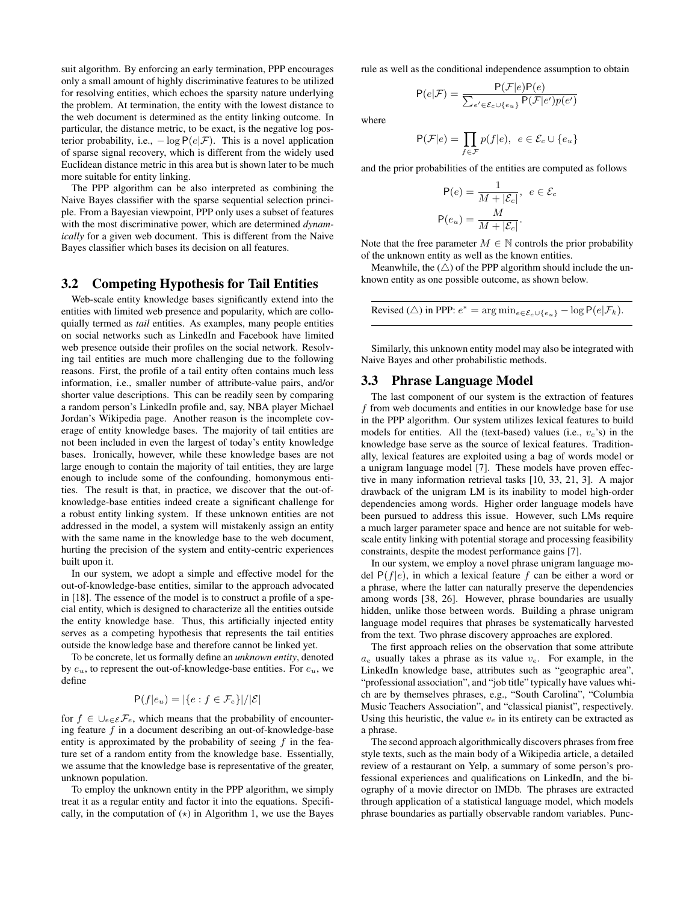suit algorithm. By enforcing an early termination, PPP encourages only a small amount of highly discriminative features to be utilized for resolving entities, which echoes the sparsity nature underlying the problem. At termination, the entity with the lowest distance to the web document is determined as the entity linking outcome. In particular, the distance metric, to be exact, is the negative log posterior probability, i.e.,  $-\log P(e|\mathcal{F})$ . This is a novel application of sparse signal recovery, which is different from the widely used Euclidean distance metric in this area but is shown later to be much more suitable for entity linking.

The PPP algorithm can be also interpreted as combining the Naive Bayes classifier with the sparse sequential selection principle. From a Bayesian viewpoint, PPP only uses a subset of features with the most discriminative power, which are determined *dynamically* for a given web document. This is different from the Naive Bayes classifier which bases its decision on all features.

#### 3.2 Competing Hypothesis for Tail Entities

Web-scale entity knowledge bases significantly extend into the entities with limited web presence and popularity, which are colloquially termed as *tail* entities. As examples, many people entities on social networks such as LinkedIn and Facebook have limited web presence outside their profiles on the social network. Resolving tail entities are much more challenging due to the following reasons. First, the profile of a tail entity often contains much less information, i.e., smaller number of attribute-value pairs, and/or shorter value descriptions. This can be readily seen by comparing a random person's LinkedIn profile and, say, NBA player Michael Jordan's Wikipedia page. Another reason is the incomplete coverage of entity knowledge bases. The majority of tail entities are not been included in even the largest of today's entity knowledge bases. Ironically, however, while these knowledge bases are not large enough to contain the majority of tail entities, they are large enough to include some of the confounding, homonymous entities. The result is that, in practice, we discover that the out-ofknowledge-base entities indeed create a significant challenge for a robust entity linking system. If these unknown entities are not addressed in the model, a system will mistakenly assign an entity with the same name in the knowledge base to the web document, hurting the precision of the system and entity-centric experiences built upon it.

In our system, we adopt a simple and effective model for the out-of-knowledge-base entities, similar to the approach advocated in [18]. The essence of the model is to construct a profile of a special entity, which is designed to characterize all the entities outside the entity knowledge base. Thus, this artificially injected entity serves as a competing hypothesis that represents the tail entities outside the knowledge base and therefore cannot be linked yet.

To be concrete, let us formally define an *unknown entity*, denoted by  $e_u$ , to represent the out-of-knowledge-base entities. For  $e_u$ , we define

$$
P(f|e_u) = |\{e : f \in \mathcal{F}_e\}|/|\mathcal{E}|
$$

for  $f \in \bigcup_{e \in \mathcal{E}} \mathcal{F}_e$ , which means that the probability of encountering feature f in a document describing an out-of-knowledge-base entity is approximated by the probability of seeing  $f$  in the feature set of a random entity from the knowledge base. Essentially, we assume that the knowledge base is representative of the greater, unknown population.

To employ the unknown entity in the PPP algorithm, we simply treat it as a regular entity and factor it into the equations. Specifically, in the computation of  $(\star)$  in Algorithm 1, we use the Bayes rule as well as the conditional independence assumption to obtain

$$
P(e|\mathcal{F}) = \frac{P(\mathcal{F}|e)P(e)}{\sum_{e' \in \mathcal{E}_c \cup \{e_u\}} P(\mathcal{F}|e')p(e')}
$$

where

$$
\mathsf{P}(\mathcal{F}|e) = \prod_{f \in \mathcal{F}} p(f|e), \ e \in \mathcal{E}_c \cup \{e_u\}
$$

and the prior probabilities of the entities are computed as follows

$$
\mathsf{P}(e) = \frac{1}{M + |\mathcal{E}_c|}, \ e \in \mathcal{E}_c
$$

$$
\mathsf{P}(e_u) = \frac{M}{M + |\mathcal{E}_c|}.
$$

Note that the free parameter  $M \in \mathbb{N}$  controls the prior probability of the unknown entity as well as the known entities.

Meanwhile, the  $(\triangle)$  of the PPP algorithm should include the unknown entity as one possible outcome, as shown below.

Revised ( $\triangle$ ) in PPP:  $e^* = \arg \min_{e \in \mathcal{E}_c \cup \{e_u\}} - \log P(e | \mathcal{F}_k)$ .

Similarly, this unknown entity model may also be integrated with Naive Bayes and other probabilistic methods.

## 3.3 Phrase Language Model

The last component of our system is the extraction of features f from web documents and entities in our knowledge base for use in the PPP algorithm. Our system utilizes lexical features to build models for entities. All the (text-based) values (i.e.,  $v_e$ 's) in the knowledge base serve as the source of lexical features. Traditionally, lexical features are exploited using a bag of words model or a unigram language model [7]. These models have proven effective in many information retrieval tasks [10, 33, 21, 3]. A major drawback of the unigram LM is its inability to model high-order dependencies among words. Higher order language models have been pursued to address this issue. However, such LMs require a much larger parameter space and hence are not suitable for webscale entity linking with potential storage and processing feasibility constraints, despite the modest performance gains [7].

In our system, we employ a novel phrase unigram language model  $P(f|e)$ , in which a lexical feature f can be either a word or a phrase, where the latter can naturally preserve the dependencies among words [38, 26]. However, phrase boundaries are usually hidden, unlike those between words. Building a phrase unigram language model requires that phrases be systematically harvested from the text. Two phrase discovery approaches are explored.

The first approach relies on the observation that some attribute  $a_e$  usually takes a phrase as its value  $v_e$ . For example, in the LinkedIn knowledge base, attributes such as "geographic area", "professional association", and "job title" typically have values which are by themselves phrases, e.g., "South Carolina", "Columbia Music Teachers Association", and "classical pianist", respectively. Using this heuristic, the value  $v_e$  in its entirety can be extracted as a phrase.

The second approach algorithmically discovers phrases from free style texts, such as the main body of a Wikipedia article, a detailed review of a restaurant on Yelp, a summary of some person's professional experiences and qualifications on LinkedIn, and the biography of a movie director on IMDb. The phrases are extracted through application of a statistical language model, which models phrase boundaries as partially observable random variables. Punc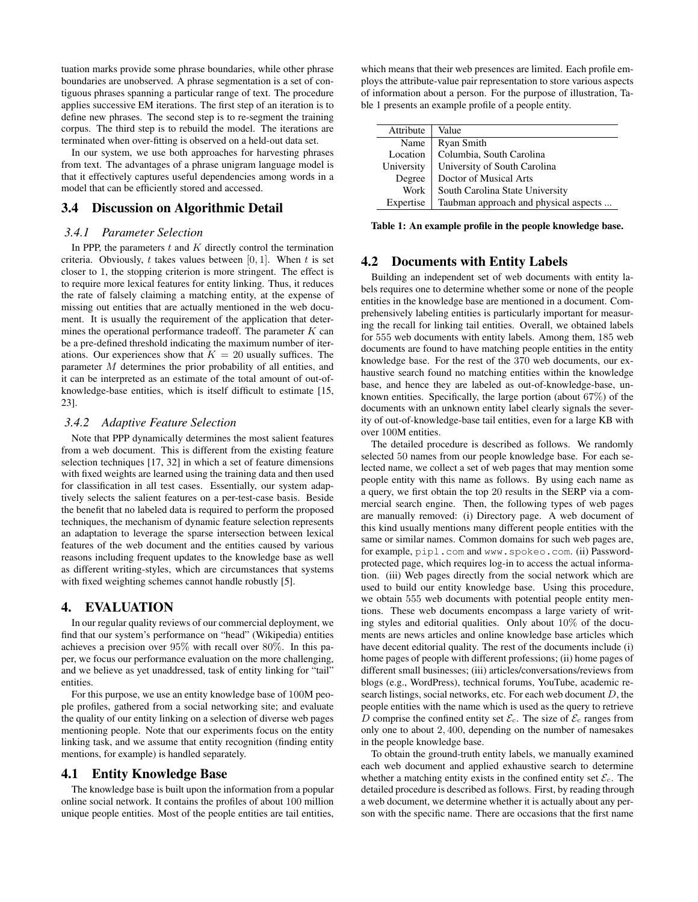tuation marks provide some phrase boundaries, while other phrase boundaries are unobserved. A phrase segmentation is a set of contiguous phrases spanning a particular range of text. The procedure applies successive EM iterations. The first step of an iteration is to define new phrases. The second step is to re-segment the training corpus. The third step is to rebuild the model. The iterations are terminated when over-fitting is observed on a held-out data set.

In our system, we use both approaches for harvesting phrases from text. The advantages of a phrase unigram language model is that it effectively captures useful dependencies among words in a model that can be efficiently stored and accessed.

## 3.4 Discussion on Algorithmic Detail

## *3.4.1 Parameter Selection*

In PPP, the parameters  $t$  and  $K$  directly control the termination criteria. Obviously, t takes values between  $[0, 1]$ . When t is set closer to 1, the stopping criterion is more stringent. The effect is to require more lexical features for entity linking. Thus, it reduces the rate of falsely claiming a matching entity, at the expense of missing out entities that are actually mentioned in the web document. It is usually the requirement of the application that determines the operational performance tradeoff. The parameter  $K$  can be a pre-defined threshold indicating the maximum number of iterations. Our experiences show that  $K = 20$  usually suffices. The parameter M determines the prior probability of all entities, and it can be interpreted as an estimate of the total amount of out-ofknowledge-base entities, which is itself difficult to estimate [15, 23].

#### *3.4.2 Adaptive Feature Selection*

Note that PPP dynamically determines the most salient features from a web document. This is different from the existing feature selection techniques [17, 32] in which a set of feature dimensions with fixed weights are learned using the training data and then used for classification in all test cases. Essentially, our system adaptively selects the salient features on a per-test-case basis. Beside the benefit that no labeled data is required to perform the proposed techniques, the mechanism of dynamic feature selection represents an adaptation to leverage the sparse intersection between lexical features of the web document and the entities caused by various reasons including frequent updates to the knowledge base as well as different writing-styles, which are circumstances that systems with fixed weighting schemes cannot handle robustly [5].

#### 4. EVALUATION

In our regular quality reviews of our commercial deployment, we find that our system's performance on "head" (Wikipedia) entities achieves a precision over 95% with recall over 80%. In this paper, we focus our performance evaluation on the more challenging, and we believe as yet unaddressed, task of entity linking for "tail" entities.

For this purpose, we use an entity knowledge base of 100M people profiles, gathered from a social networking site; and evaluate the quality of our entity linking on a selection of diverse web pages mentioning people. Note that our experiments focus on the entity linking task, and we assume that entity recognition (finding entity mentions, for example) is handled separately.

#### 4.1 Entity Knowledge Base

The knowledge base is built upon the information from a popular online social network. It contains the profiles of about 100 million unique people entities. Most of the people entities are tail entities,

which means that their web presences are limited. Each profile employs the attribute-value pair representation to store various aspects of information about a person. For the purpose of illustration, Table 1 presents an example profile of a people entity.

| Attribute  | Value                                 |
|------------|---------------------------------------|
| Name       | Ryan Smith                            |
| Location   | Columbia, South Carolina              |
| University | University of South Carolina          |
| Degree     | Doctor of Musical Arts                |
| Work       | South Carolina State University       |
| Expertise  | Taubman approach and physical aspects |

Table 1: An example profile in the people knowledge base.

# 4.2 Documents with Entity Labels

Building an independent set of web documents with entity labels requires one to determine whether some or none of the people entities in the knowledge base are mentioned in a document. Comprehensively labeling entities is particularly important for measuring the recall for linking tail entities. Overall, we obtained labels for 555 web documents with entity labels. Among them, 185 web documents are found to have matching people entities in the entity knowledge base. For the rest of the 370 web documents, our exhaustive search found no matching entities within the knowledge base, and hence they are labeled as out-of-knowledge-base, unknown entities. Specifically, the large portion (about  $67\%$ ) of the documents with an unknown entity label clearly signals the severity of out-of-knowledge-base tail entities, even for a large KB with over 100M entities.

The detailed procedure is described as follows. We randomly selected 50 names from our people knowledge base. For each selected name, we collect a set of web pages that may mention some people entity with this name as follows. By using each name as a query, we first obtain the top 20 results in the SERP via a commercial search engine. Then, the following types of web pages are manually removed: (i) Directory page. A web document of this kind usually mentions many different people entities with the same or similar names. Common domains for such web pages are, for example, pipl.com and www.spokeo.com. (ii) Passwordprotected page, which requires log-in to access the actual information. (iii) Web pages directly from the social network which are used to build our entity knowledge base. Using this procedure, we obtain 555 web documents with potential people entity mentions. These web documents encompass a large variety of writing styles and editorial qualities. Only about  $10\%$  of the documents are news articles and online knowledge base articles which have decent editorial quality. The rest of the documents include (i) home pages of people with different professions; (ii) home pages of different small businesses; (iii) articles/conversations/reviews from blogs (e.g., WordPress), technical forums, YouTube, academic research listings, social networks, etc. For each web document  $D$ , the people entities with the name which is used as the query to retrieve D comprise the confined entity set  $\mathcal{E}_c$ . The size of  $\mathcal{E}_c$  ranges from only one to about 2, 400, depending on the number of namesakes in the people knowledge base.

To obtain the ground-truth entity labels, we manually examined each web document and applied exhaustive search to determine whether a matching entity exists in the confined entity set  $\mathcal{E}_c$ . The detailed procedure is described as follows. First, by reading through a web document, we determine whether it is actually about any person with the specific name. There are occasions that the first name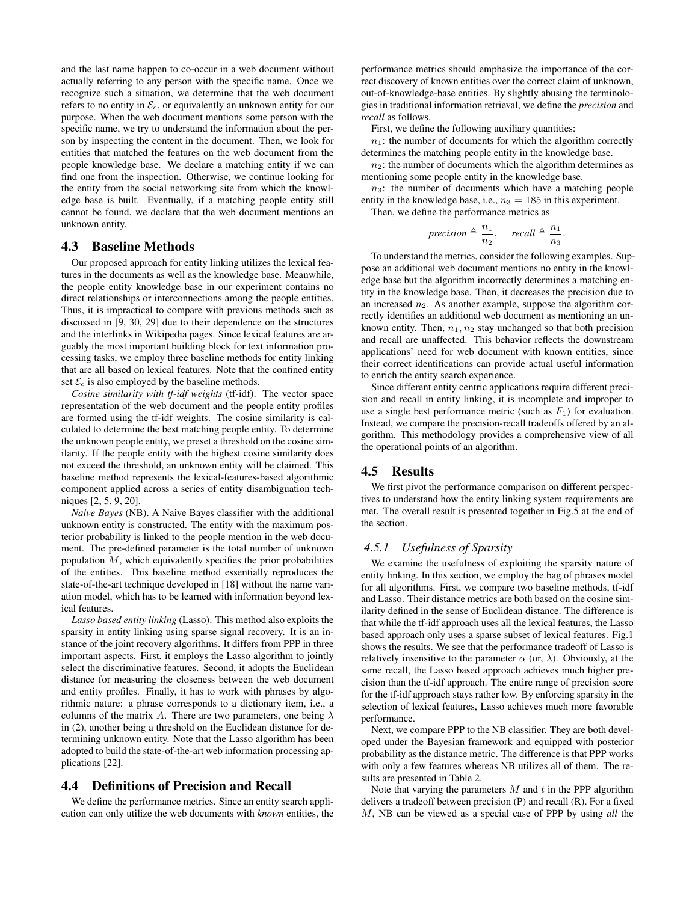and the last name happen to co-occur in a web document without actually referring to any person with the specific name. Once we recognize such a situation, we determine that the web document refers to no entity in  $\mathcal{E}_c$ , or equivalently an unknown entity for our purpose. When the web document mentions some person with the specific name, we try to understand the information about the person by inspecting the content in the document. Then, we look for entities that matched the features on the web document from the people knowledge base. We declare a matching entity if we can find one from the inspection. Otherwise, we continue looking for the entity from the social networking site from which the knowledge base is built. Eventually, if a matching people entity still cannot be found, we declare that the web document mentions an unknown entity.

## 4.3 Baseline Methods

Our proposed approach for entity linking utilizes the lexical features in the documents as well as the knowledge base. Meanwhile, the people entity knowledge base in our experiment contains no direct relationships or interconnections among the people entities. Thus, it is impractical to compare with previous methods such as discussed in [9, 30, 29] due to their dependence on the structures and the interlinks in Wikipedia pages. Since lexical features are arguably the most important building block for text information processing tasks, we employ three baseline methods for entity linking that are all based on lexical features. Note that the confined entity set  $\mathcal{E}_c$  is also employed by the baseline methods.

*Cosine similarity with tf-idf weights* (tf-idf). The vector space representation of the web document and the people entity profiles are formed using the tf-idf weights. The cosine similarity is calculated to determine the best matching people entity. To determine the unknown people entity, we preset a threshold on the cosine similarity. If the people entity with the highest cosine similarity does not exceed the threshold, an unknown entity will be claimed. This baseline method represents the lexical-features-based algorithmic component applied across a series of entity disambiguation techniques [2, 5, 9, 20].

*Naive Bayes* (NB). A Naive Bayes classifier with the additional unknown entity is constructed. The entity with the maximum posterior probability is linked to the people mention in the web document. The pre-defined parameter is the total number of unknown population  $M$ , which equivalently specifies the prior probabilities of the entities. This baseline method essentially reproduces the state-of-the-art technique developed in [18] without the name variation model, which has to be learned with information beyond lexical features.

*Lasso based entity linking* (Lasso). This method also exploits the sparsity in entity linking using sparse signal recovery. It is an instance of the joint recovery algorithms. It differs from PPP in three important aspects. First, it employs the Lasso algorithm to jointly select the discriminative features. Second, it adopts the Euclidean distance for measuring the closeness between the web document and entity profiles. Finally, it has to work with phrases by algorithmic nature: a phrase corresponds to a dictionary item, i.e., a columns of the matrix A. There are two parameters, one being  $\lambda$ in (2), another being a threshold on the Euclidean distance for determining unknown entity. Note that the Lasso algorithm has been adopted to build the state-of-the-art web information processing applications [22].

#### 4.4 Definitions of Precision and Recall

We define the performance metrics. Since an entity search application can only utilize the web documents with *known* entities, the performance metrics should emphasize the importance of the correct discovery of known entities over the correct claim of unknown, out-of-knowledge-base entities. By slightly abusing the terminologies in traditional information retrieval, we define the *precision* and *recall* as follows.

First, we define the following auxiliary quantities:

 $n_1$ : the number of documents for which the algorithm correctly determines the matching people entity in the knowledge base.

 $n_2$ : the number of documents which the algorithm determines as mentioning some people entity in the knowledge base.

 $n_3$ : the number of documents which have a matching people entity in the knowledge base, i.e.,  $n_3 = 185$  in this experiment.

Then, we define the performance metrics as

$$
precision \triangleq \frac{n_1}{n_2}, \quad recall \triangleq \frac{n_1}{n_3}
$$

.

To understand the metrics, consider the following examples. Suppose an additional web document mentions no entity in the knowledge base but the algorithm incorrectly determines a matching entity in the knowledge base. Then, it decreases the precision due to an increased  $n_2$ . As another example, suppose the algorithm correctly identifies an additional web document as mentioning an unknown entity. Then,  $n_1, n_2$  stay unchanged so that both precision and recall are unaffected. This behavior reflects the downstream applications' need for web document with known entities, since their correct identifications can provide actual useful information to enrich the entity search experience.

Since different entity centric applications require different precision and recall in entity linking, it is incomplete and improper to use a single best performance metric (such as  $F_1$ ) for evaluation. Instead, we compare the precision-recall tradeoffs offered by an algorithm. This methodology provides a comprehensive view of all the operational points of an algorithm.

#### 4.5 Results

We first pivot the performance comparison on different perspectives to understand how the entity linking system requirements are met. The overall result is presented together in Fig.5 at the end of the section.

#### *4.5.1 Usefulness of Sparsity*

We examine the usefulness of exploiting the sparsity nature of entity linking. In this section, we employ the bag of phrases model for all algorithms. First, we compare two baseline methods, tf-idf and Lasso. Their distance metrics are both based on the cosine similarity defined in the sense of Euclidean distance. The difference is that while the tf-idf approach uses all the lexical features, the Lasso based approach only uses a sparse subset of lexical features. Fig.1 shows the results. We see that the performance tradeoff of Lasso is relatively insensitive to the parameter  $\alpha$  (or,  $\lambda$ ). Obviously, at the same recall, the Lasso based approach achieves much higher precision than the tf-idf approach. The entire range of precision score for the tf-idf approach stays rather low. By enforcing sparsity in the selection of lexical features, Lasso achieves much more favorable performance.

Next, we compare PPP to the NB classifier. They are both developed under the Bayesian framework and equipped with posterior probability as the distance metric. The difference is that PPP works with only a few features whereas NB utilizes all of them. The results are presented in Table 2.

Note that varying the parameters  $M$  and  $t$  in the PPP algorithm delivers a tradeoff between precision (P) and recall (R). For a fixed M, NB can be viewed as a special case of PPP by using *all* the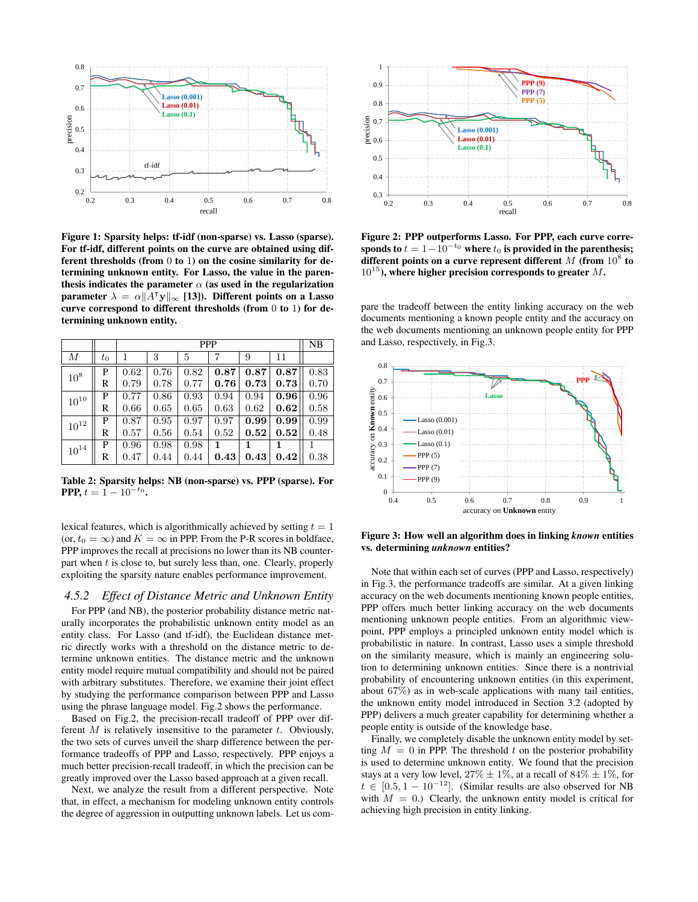

Figure 1: Sparsity helps: tf-idf (non-sparse) vs. Lasso (sparse). For tf-idf, different points on the curve are obtained using different thresholds (from  $0$  to  $1$ ) on the cosine similarity for determining unknown entity. For Lasso, the value in the parenthesis indicates the parameter  $\alpha$  (as used in the regularization parameter  $\lambda = \alpha ||A^{\dagger} y||_{\infty}$  [13]). Different points on a Lasso curve correspond to different thresholds (from 0 to 1) for determining unknown entity.

|             |         | <b>PPP</b> |      |      |      |      |      |      |
|-------------|---------|------------|------|------|------|------|------|------|
| М           | $t_{0}$ |            | 3    | 5    |      | 9    | 11   |      |
| $10^8$      | P       | 0.62       | 0.76 | 0.82 | 0.87 | 0.87 | 0.87 | 0.83 |
|             | R       | 0.79       | 0.78 | 0.77 | 0.76 | 0.73 | 0.73 | 0.70 |
| $10^{10}$   | P       | 0.77       | 0.86 | 0.93 | 0.94 | 0.94 | 0.96 | 0.96 |
|             | R       | 0.66       | 0.65 | 0.65 | 0.63 | 0.62 | 0.62 | 0.58 |
| $10^{12}\,$ | P       | 0.87       | 0.95 | 0.97 | 0.97 | 0.99 | 0.99 | 0.99 |
|             | R       | 0.57       | 0.56 | 0.54 | 0.52 | 0.52 | 0.52 | 0.48 |
| $10^{14}\,$ | P       | 0.96       | 0.98 | 0.98 |      |      |      |      |
|             | R       | 0.47       | 0.44 | 0.44 | 0.43 | 0.43 | 0.42 | 0.38 |

Table 2: Sparsity helps: NB (non-sparse) vs. PPP (sparse). For **PPP,**  $t = 1 - 10^{-t_0}$ .

lexical features, which is algorithmically achieved by setting  $t = 1$ (or,  $t_0 = \infty$ ) and  $K = \infty$  in PPP. From the P-R scores in boldface, PPP improves the recall at precisions no lower than its NB counterpart when  $t$  is close to, but surely less than, one. Clearly, properly exploiting the sparsity nature enables performance improvement.

# *4.5.2 Effect of Distance Metric and Unknown Entity*

For PPP (and NB), the posterior probability distance metric naturally incorporates the probabilistic unknown entity model as an entity class. For Lasso (and tf-idf), the Euclidean distance metric directly works with a threshold on the distance metric to determine unknown entities. The distance metric and the unknown entity model require mutual compatibility and should not be paired with arbitrary substitutes. Therefore, we examine their joint effect by studying the performance comparison between PPP and Lasso using the phrase language model. Fig.2 shows the performance.

Based on Fig.2, the precision-recall tradeoff of PPP over different  $M$  is relatively insensitive to the parameter  $t$ . Obviously, the two sets of curves unveil the sharp difference between the performance tradeoffs of PPP and Lasso, respectively. PPP enjoys a much better precision-recall tradeoff, in which the precision can be greatly improved over the Lasso based approach at a given recall.

Next, we analyze the result from a different perspective. Note that, in effect, a mechanism for modeling unknown entity controls the degree of aggression in outputting unknown labels. Let us com-



Figure 2: PPP outperforms Lasso. For PPP, each curve corresponds to  $t = 1 - 10^{-t_0}$  where  $t_0$  is provided in the parenthesis; different points on a curve represent different  $M$  (from  $10^8$  to  $10^{15}$ ), where higher precision corresponds to greater M.

pare the tradeoff between the entity linking accuracy on the web documents mentioning a known people entity and the accuracy on the web documents mentioning an unknown people entity for PPP and Lasso, respectively, in Fig.3.



Figure 3: How well an algorithm does in linking *known* entities vs. determining *unknown* entities?

Note that within each set of curves (PPP and Lasso, respectively) in Fig.3, the performance tradeoffs are similar. At a given linking accuracy on the web documents mentioning known people entities, PPP offers much better linking accuracy on the web documents mentioning unknown people entities. From an algorithmic viewpoint, PPP employs a principled unknown entity model which is probabilistic in nature. In contrast, Lasso uses a simple threshold on the similarity measure, which is mainly an engineering solution to determining unknown entities. Since there is a nontrivial probability of encountering unknown entities (in this experiment, about 67%) as in web-scale applications with many tail entities, the unknown entity model introduced in Section 3.2 (adopted by PPP) delivers a much greater capability for determining whether a people entity is outside of the knowledge base.

Finally, we completely disable the unknown entity model by setting  $M = 0$  in PPP. The threshold t on the posterior probability is used to determine unknown entity. We found that the precision stays at a very low level,  $27\% \pm 1\%$ , at a recall of  $84\% \pm 1\%$ , for  $t \in [0.5, 1 - 10^{-12}]$ . (Similar results are also observed for NB with  $M = 0$ .) Clearly, the unknown entity model is critical for achieving high precision in entity linking.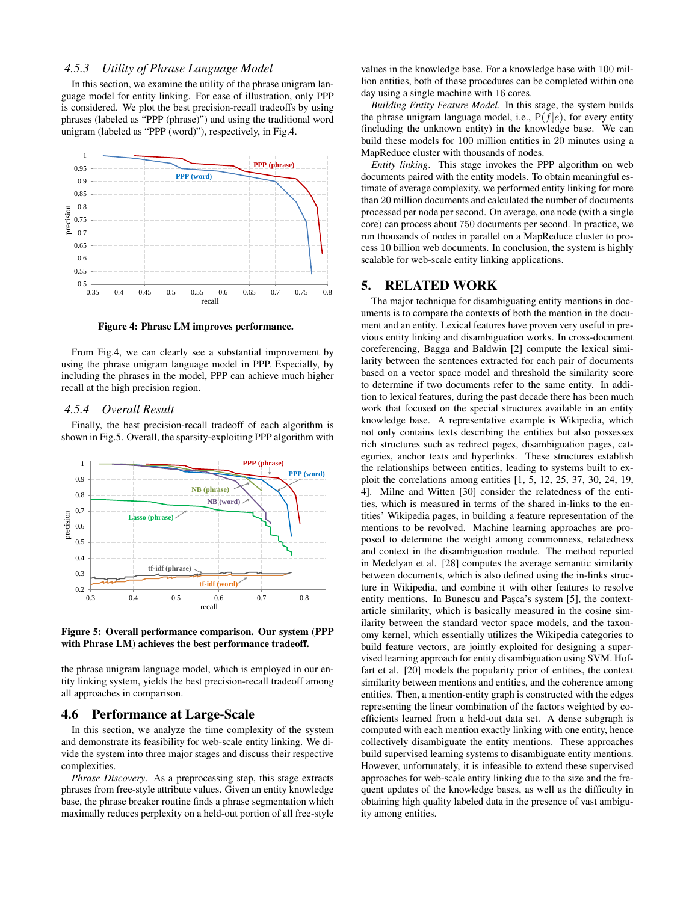#### *4.5.3 Utility of Phrase Language Model*

In this section, we examine the utility of the phrase unigram language model for entity linking. For ease of illustration, only PPP is considered. We plot the best precision-recall tradeoffs by using phrases (labeled as "PPP (phrase)") and using the traditional word unigram (labeled as "PPP (word)"), respectively, in Fig.4.



Figure 4: Phrase LM improves performance.

From Fig.4, we can clearly see a substantial improvement by using the phrase unigram language model in PPP. Especially, by including the phrases in the model, PPP can achieve much higher recall at the high precision region.

#### *4.5.4 Overall Result*

Finally, the best precision-recall tradeoff of each algorithm is shown in Fig.5. Overall, the sparsity-exploiting PPP algorithm with



Figure 5: Overall performance comparison. Our system (PPP with Phrase LM) achieves the best performance tradeoff.

the phrase unigram language model, which is employed in our entity linking system, yields the best precision-recall tradeoff among all approaches in comparison.

#### 4.6 Performance at Large-Scale

In this section, we analyze the time complexity of the system and demonstrate its feasibility for web-scale entity linking. We divide the system into three major stages and discuss their respective complexities.

*Phrase Discovery*. As a preprocessing step, this stage extracts phrases from free-style attribute values. Given an entity knowledge base, the phrase breaker routine finds a phrase segmentation which maximally reduces perplexity on a held-out portion of all free-style

values in the knowledge base. For a knowledge base with 100 million entities, both of these procedures can be completed within one day using a single machine with 16 cores.

*Building Entity Feature Model*. In this stage, the system builds the phrase unigram language model, i.e.,  $P(f|e)$ , for every entity (including the unknown entity) in the knowledge base. We can build these models for 100 million entities in 20 minutes using a MapReduce cluster with thousands of nodes.

*Entity linking*. This stage invokes the PPP algorithm on web documents paired with the entity models. To obtain meaningful estimate of average complexity, we performed entity linking for more than 20 million documents and calculated the number of documents processed per node per second. On average, one node (with a single core) can process about 750 documents per second. In practice, we run thousands of nodes in parallel on a MapReduce cluster to process 10 billion web documents. In conclusion, the system is highly scalable for web-scale entity linking applications.

## 5. RELATED WORK

The major technique for disambiguating entity mentions in documents is to compare the contexts of both the mention in the document and an entity. Lexical features have proven very useful in previous entity linking and disambiguation works. In cross-document coreferencing, Bagga and Baldwin [2] compute the lexical similarity between the sentences extracted for each pair of documents based on a vector space model and threshold the similarity score to determine if two documents refer to the same entity. In addition to lexical features, during the past decade there has been much work that focused on the special structures available in an entity knowledge base. A representative example is Wikipedia, which not only contains texts describing the entities but also possesses rich structures such as redirect pages, disambiguation pages, categories, anchor texts and hyperlinks. These structures establish the relationships between entities, leading to systems built to exploit the correlations among entities [1, 5, 12, 25, 37, 30, 24, 19, 4]. Milne and Witten [30] consider the relatedness of the entities, which is measured in terms of the shared in-links to the entities' Wikipedia pages, in building a feature representation of the mentions to be revolved. Machine learning approaches are proposed to determine the weight among commonness, relatedness and context in the disambiguation module. The method reported in Medelyan et al. [28] computes the average semantic similarity between documents, which is also defined using the in-links structure in Wikipedia, and combine it with other features to resolve entity mentions. In Bunescu and Paşca's system [5], the contextarticle similarity, which is basically measured in the cosine similarity between the standard vector space models, and the taxonomy kernel, which essentially utilizes the Wikipedia categories to build feature vectors, are jointly exploited for designing a supervised learning approach for entity disambiguation using SVM. Hoffart et al. [20] models the popularity prior of entities, the context similarity between mentions and entities, and the coherence among entities. Then, a mention-entity graph is constructed with the edges representing the linear combination of the factors weighted by coefficients learned from a held-out data set. A dense subgraph is computed with each mention exactly linking with one entity, hence collectively disambiguate the entity mentions. These approaches build supervised learning systems to disambiguate entity mentions. However, unfortunately, it is infeasible to extend these supervised approaches for web-scale entity linking due to the size and the frequent updates of the knowledge bases, as well as the difficulty in obtaining high quality labeled data in the presence of vast ambiguity among entities.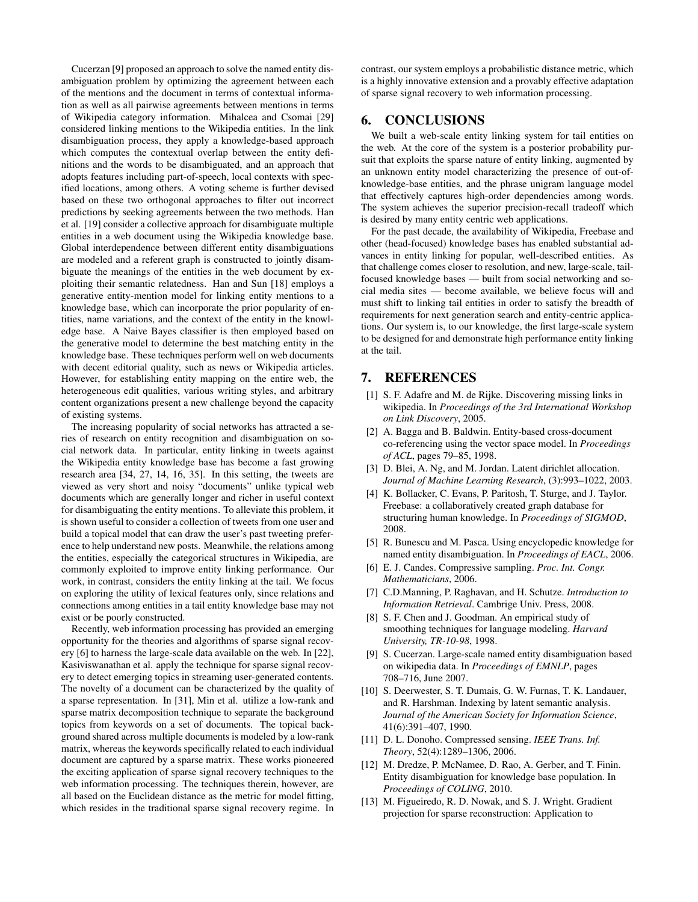Cucerzan [9] proposed an approach to solve the named entity disambiguation problem by optimizing the agreement between each of the mentions and the document in terms of contextual information as well as all pairwise agreements between mentions in terms of Wikipedia category information. Mihalcea and Csomai [29] considered linking mentions to the Wikipedia entities. In the link disambiguation process, they apply a knowledge-based approach which computes the contextual overlap between the entity definitions and the words to be disambiguated, and an approach that adopts features including part-of-speech, local contexts with specified locations, among others. A voting scheme is further devised based on these two orthogonal approaches to filter out incorrect predictions by seeking agreements between the two methods. Han et al. [19] consider a collective approach for disambiguate multiple entities in a web document using the Wikipedia knowledge base. Global interdependence between different entity disambiguations are modeled and a referent graph is constructed to jointly disambiguate the meanings of the entities in the web document by exploiting their semantic relatedness. Han and Sun [18] employs a generative entity-mention model for linking entity mentions to a knowledge base, which can incorporate the prior popularity of entities, name variations, and the context of the entity in the knowledge base. A Naive Bayes classifier is then employed based on the generative model to determine the best matching entity in the knowledge base. These techniques perform well on web documents with decent editorial quality, such as news or Wikipedia articles. However, for establishing entity mapping on the entire web, the heterogeneous edit qualities, various writing styles, and arbitrary content organizations present a new challenge beyond the capacity of existing systems.

The increasing popularity of social networks has attracted a series of research on entity recognition and disambiguation on social network data. In particular, entity linking in tweets against the Wikipedia entity knowledge base has become a fast growing research area [34, 27, 14, 16, 35]. In this setting, the tweets are viewed as very short and noisy "documents" unlike typical web documents which are generally longer and richer in useful context for disambiguating the entity mentions. To alleviate this problem, it is shown useful to consider a collection of tweets from one user and build a topical model that can draw the user's past tweeting preference to help understand new posts. Meanwhile, the relations among the entities, especially the categorical structures in Wikipedia, are commonly exploited to improve entity linking performance. Our work, in contrast, considers the entity linking at the tail. We focus on exploring the utility of lexical features only, since relations and connections among entities in a tail entity knowledge base may not exist or be poorly constructed.

Recently, web information processing has provided an emerging opportunity for the theories and algorithms of sparse signal recovery [6] to harness the large-scale data available on the web. In [22], Kasiviswanathan et al. apply the technique for sparse signal recovery to detect emerging topics in streaming user-generated contents. The novelty of a document can be characterized by the quality of a sparse representation. In [31], Min et al. utilize a low-rank and sparse matrix decomposition technique to separate the background topics from keywords on a set of documents. The topical background shared across multiple documents is modeled by a low-rank matrix, whereas the keywords specifically related to each individual document are captured by a sparse matrix. These works pioneered the exciting application of sparse signal recovery techniques to the web information processing. The techniques therein, however, are all based on the Euclidean distance as the metric for model fitting, which resides in the traditional sparse signal recovery regime. In contrast, our system employs a probabilistic distance metric, which is a highly innovative extension and a provably effective adaptation of sparse signal recovery to web information processing.

## 6. CONCLUSIONS

We built a web-scale entity linking system for tail entities on the web. At the core of the system is a posterior probability pursuit that exploits the sparse nature of entity linking, augmented by an unknown entity model characterizing the presence of out-ofknowledge-base entities, and the phrase unigram language model that effectively captures high-order dependencies among words. The system achieves the superior precision-recall tradeoff which is desired by many entity centric web applications.

For the past decade, the availability of Wikipedia, Freebase and other (head-focused) knowledge bases has enabled substantial advances in entity linking for popular, well-described entities. As that challenge comes closer to resolution, and new, large-scale, tailfocused knowledge bases — built from social networking and social media sites — become available, we believe focus will and must shift to linking tail entities in order to satisfy the breadth of requirements for next generation search and entity-centric applications. Our system is, to our knowledge, the first large-scale system to be designed for and demonstrate high performance entity linking at the tail.

# 7. REFERENCES

- [1] S. F. Adafre and M. de Rijke. Discovering missing links in wikipedia. In *Proceedings of the 3rd International Workshop on Link Discovery*, 2005.
- [2] A. Bagga and B. Baldwin. Entity-based cross-document co-referencing using the vector space model. In *Proceedings of ACL*, pages 79–85, 1998.
- [3] D. Blei, A. Ng, and M. Jordan. Latent dirichlet allocation. *Journal of Machine Learning Research*, (3):993–1022, 2003.
- [4] K. Bollacker, C. Evans, P. Paritosh, T. Sturge, and J. Taylor. Freebase: a collaboratively created graph database for structuring human knowledge. In *Proceedings of SIGMOD*, 2008.
- [5] R. Bunescu and M. Pasca. Using encyclopedic knowledge for named entity disambiguation. In *Proceedings of EACL*, 2006.
- [6] E. J. Candes. Compressive sampling. *Proc. Int. Congr. Mathematicians*, 2006.
- [7] C.D.Manning, P. Raghavan, and H. Schutze. *Introduction to Information Retrieval*. Cambrige Univ. Press, 2008.
- [8] S. F. Chen and J. Goodman. An empirical study of smoothing techniques for language modeling. *Harvard University, TR-10-98*, 1998.
- [9] S. Cucerzan. Large-scale named entity disambiguation based on wikipedia data. In *Proceedings of EMNLP*, pages 708–716, June 2007.
- [10] S. Deerwester, S. T. Dumais, G. W. Furnas, T. K. Landauer, and R. Harshman. Indexing by latent semantic analysis. *Journal of the American Society for Information Science*, 41(6):391–407, 1990.
- [11] D. L. Donoho. Compressed sensing. *IEEE Trans. Inf. Theory*, 52(4):1289–1306, 2006.
- [12] M. Dredze, P. McNamee, D. Rao, A. Gerber, and T. Finin. Entity disambiguation for knowledge base population. In *Proceedings of COLING*, 2010.
- [13] M. Figueiredo, R. D. Nowak, and S. J. Wright. Gradient projection for sparse reconstruction: Application to